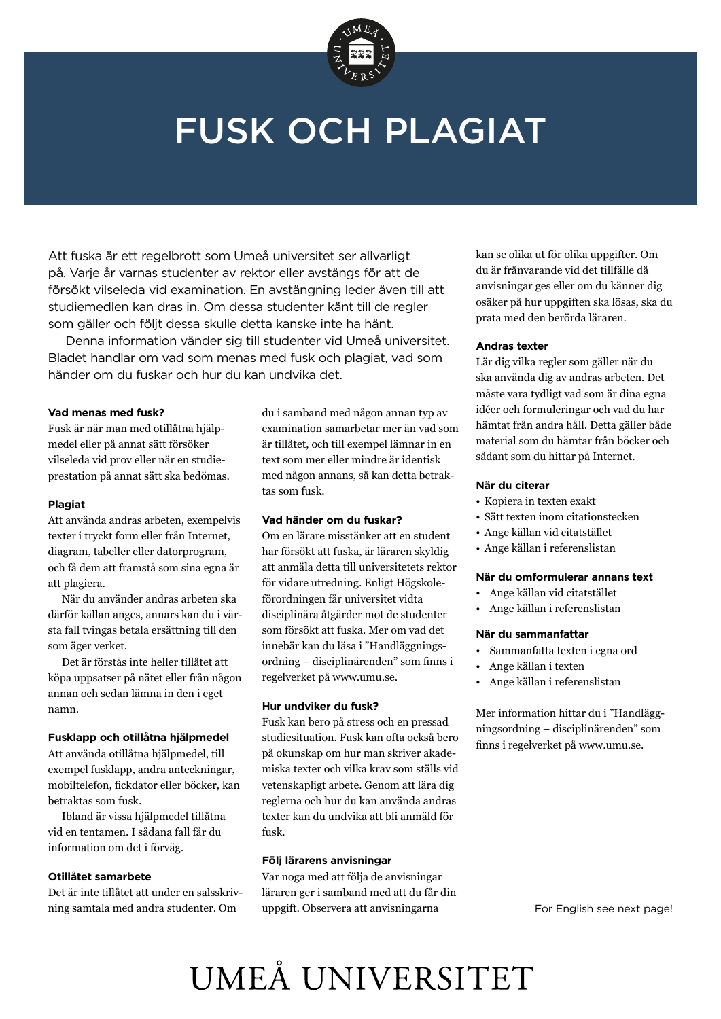

### FUSK OCH PLAGIAT

Att fuska är ett regelbrott som Umeå universitet ser allvarligt på. Varje år varnas studenter av rektor eller avstängs för att de försökt vilseleda vid examination. En avstängning leder även till att studiemedlen kan dras in. Om dessa studenter känt till de regler som gäller och följt dessa skulle detta kanske inte ha hänt.

 Denna information vänder sig till studenter vid Umeå universitet. Bladet handlar om vad som menas med fusk och plagiat, vad som händer om du fuskar och hur du kan undvika det.

#### **Vad menas med fusk?**

Fusk är när man med otillåtna hjälpmedel eller på annat sätt försöker vilseleda vid prov eller när en studieprestation på annat sätt ska bedömas.

#### **Plagiat**

Att använda andras arbeten, exempelvis texter i tryckt form eller från Internet, diagram, tabeller eller datorprogram, och få dem att framstå som sina egna är att plagiera.

När du använder andras arbeten ska därför källan anges, annars kan du i värsta fall tvingas betala ersättning till den som äger verket.

Det är förstås inte heller tillåtet att köpa uppsatser på nätet eller från någon annan och sedan lämna in den i eget namn.

#### **Fusklapp och otillåtna hjälpmedel**

Att använda otillåtna hjälpmedel, till exempel fusklapp, andra anteckningar, mobiltelefon, fickdator eller böcker, kan betraktas som fusk.

Ibland är vissa hjälpmedel tillåtna vid en tentamen. I sådana fall får du information om det i förväg.

#### **Otillåtet samarbete**

Det är inte tillåtet att under en salsskrivning samtala med andra studenter. Om

du i samband med någon annan typ av examination samarbetar mer än vad som är tillåtet, och till exempel lämnar in en text som mer eller mindre är identisk med någon annans, så kan detta betraktas som fusk.

#### **Vad händer om du fuskar?**

Om en lärare misstänker att en student har försökt att fuska, är läraren skyldig att anmäla detta till universitetets rektor för vidare utredning. Enligt Högskoleförordningen får universitet vidta disciplinära åtgärder mot de studenter som försökt att fuska. Mer om vad det innebär kan du läsa i "Handläggningsordning – disciplinärenden" som finns i regelverket på www.umu.se.

#### **Hur undviker du fusk?**

Fusk kan bero på stress och en pressad studiesituation. Fusk kan ofta också bero på okunskap om hur man skriver akademiska texter och vilka krav som ställs vid vetenskapligt arbete. Genom att lära dig reglerna och hur du kan använda andras texter kan du undvika att bli anmäld för fusk.

#### **Följ lärarens anvisningar**

Var noga med att följa de anvisningar läraren ger i samband med att du får din uppgift. Observera att anvisningarna

kan se olika ut för olika uppgifter. Om du är frånvarande vid det tillfälle då anvisningar ges eller om du känner dig osäker på hur uppgiften ska lösas, ska du prata med den berörda läraren.

#### **Andras texter**

Lär dig vilka regler som gäller när du ska använda dig av andras arbeten. Det måste vara tydligt vad som är dina egna idéer och formuleringar och vad du har hämtat från andra håll. Detta gäller både material som du hämtar från böcker och sådant som du hittar på Internet.

#### **När du citerar**

- Kopiera in texten exakt
- Sätt texten inom citationstecken
- Ange källan vid citatstället
- Ange källan i referenslistan

#### **När du omformulerar annans text**

- Ange källan vid citatstället
- Ange källan i referenslistan

#### **När du sammanfattar**

- Sammanfatta texten i egna ord
- Ange källan i texten
- Ange källan i referenslistan

Mer information hittar du i "Handläggningsordning – disciplinärenden" som finns i regelverket på www.umu.se.

# UMEÅ UNIVERSITET